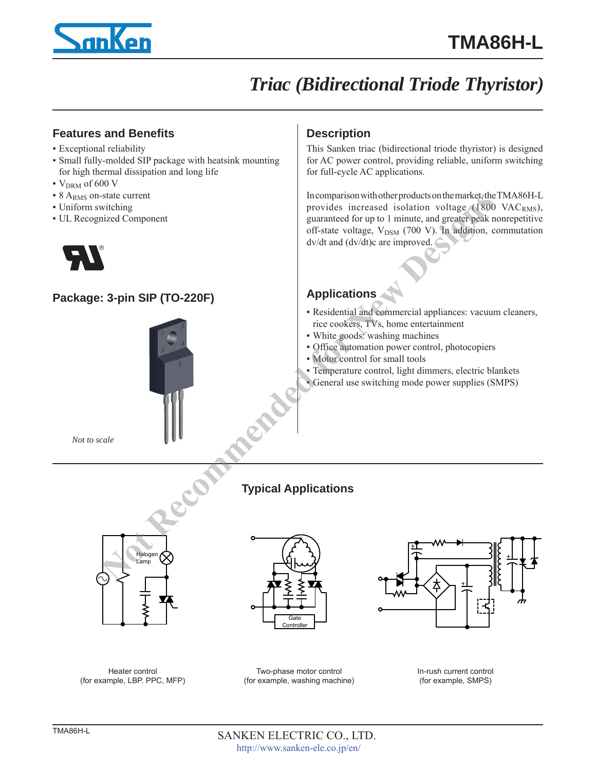

# *Triac (Bidirectional Triode Thyristor)*

## **Features and Benefits**

- Exceptional reliability
- Small fully-molded SIP package with heatsink mounting for high thermal dissipation and long life
- $\bullet$  V<sub>DRM</sub> of 600 V
- 8 A<sub>RMS</sub> on-state current
- Uniform switching
- UL Recognized Component



## **Package: 3-pin SIP (TO-220F)**



*Not to scale*

# **Description**

This Sanken triac (bidirectional triode thyristor) is designed for AC power control, providing reliable, uniform switching for full-cycle AC applications.

In comparison with other products on the market, the TMA86H-L provides increased isolation voltage  $(1800 \text{ VAC}_{RMS})$ , guaranteed for up to 1 minute, and greater peak nonrepetitive off-state voltage, V<sub>DSM</sub> (700 V). In addition, commutation dv/dt and (dv/dt)c are improved. state current to the component the the current of the current of the current of the current of the current of the current of the context particle of the context particle of the context particle of the context particle of

# **Applications**

- Residential and commercial appliances: vacuum cleaners, rice cookers, TVs, home entertainment
- White goods: washing machines
- Office automation power control, photocopiers
- Motor control for small tools
- Temperature control, light dimmers, electric blankets
- General use switching mode power supplies (SMPS)

## **Typical Applications**



**Gate** Controlle



Heater control (for example, LBP. PPC, MFP)

Two-phase motor control (for example, washing machine) In-rush current control (for example, SMPS)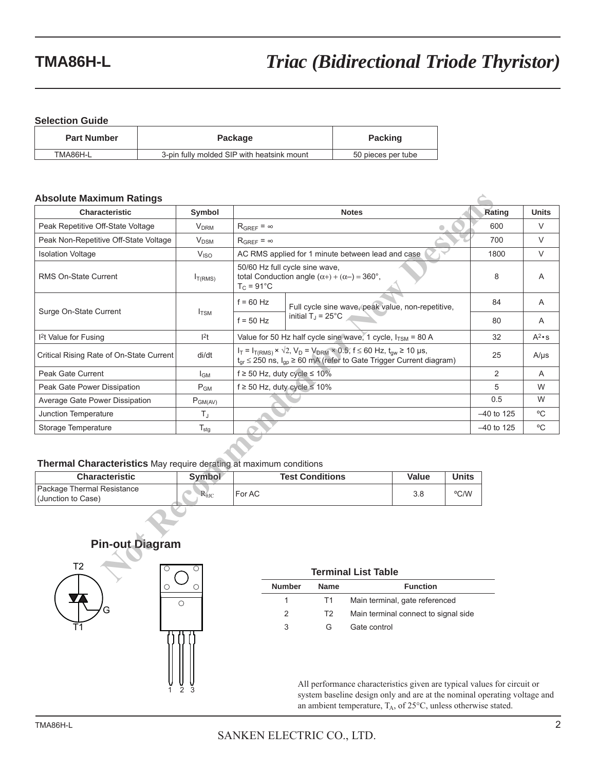#### **Selection Guide**

| <b>Part Number</b> | Package                                    | <b>Packing</b>     |  |
|--------------------|--------------------------------------------|--------------------|--|
| TMA86H-L           | 3-pin fully molded SIP with heatsink mount | 50 pieces per tube |  |

#### **Absolute Maximum Ratings**

| <b>Absolute Maximum Ratings</b>                                    |                        |                     |                                                                                                                                                                                         |              |              |              |               |
|--------------------------------------------------------------------|------------------------|---------------------|-----------------------------------------------------------------------------------------------------------------------------------------------------------------------------------------|--------------|--------------|--------------|---------------|
| Characteristic                                                     | Symbol                 | <b>Notes</b>        |                                                                                                                                                                                         | Rating       | <b>Units</b> |              |               |
| Peak Repetitive Off-State Voltage                                  | <b>V<sub>DRM</sub></b> | $R_{GRFF} = \infty$ |                                                                                                                                                                                         | 600          | V            |              |               |
| Peak Non-Repetitive Off-State Voltage                              | $V_{DSM}$              | $R_{GRFF} = \infty$ |                                                                                                                                                                                         |              |              | 700          | V             |
| <b>Isolation Voltage</b>                                           | V <sub>ISO</sub>       |                     | AC RMS applied for 1 minute between lead and case                                                                                                                                       |              |              | 1800         | $\vee$        |
| RMS On-State Current                                               | I <sub>T(RMS)</sub>    | $T_C = 91^{\circ}C$ | 50/60 Hz full cycle sine wave,<br>total Conduction angle $(\alpha +) + (\alpha -) = 360^{\circ}$ ,                                                                                      |              |              | 8            | Α             |
| Surge On-State Current                                             |                        | $f = 60$ Hz         | Full cycle sine wave, peak value, non-repetitive,                                                                                                                                       |              |              | 84           | A             |
|                                                                    | $I_{TSM}$              | $f = 50$ Hz         | initial $T_J = 25^{\circ}$ C                                                                                                                                                            |              |              | 80           | A             |
| <sup>2</sup> t Value for Fusing                                    | $ ^{2}t$               |                     | Value for 50 Hz half cycle sine wave, 1 cycle, $I_{TSM}$ = 80 A                                                                                                                         |              |              | 32           | $A^2 \cdot s$ |
| Critical Rising Rate of On-State Current                           | di/dt                  |                     | $I_T = I_{T(RMS)} \times \sqrt{2}$ , $V_D = V_{DRM} \times 0.5$ , $f \le 60$ Hz, $t_{qw} \ge 10$ µs,<br>$t_{qr} \le 250$ ns, $I_{qp} \ge 60$ mA (refer to Gate Trigger Current diagram) |              |              | 25           | $A/\mu s$     |
| Peak Gate Current                                                  | $I_{GM}$               |                     | $f \ge 50$ Hz, duty cycle $\le 10\%$                                                                                                                                                    |              |              | 2            | A             |
| Peak Gate Power Dissipation                                        | $P_{GM}$               |                     | $f \ge 50$ Hz, duty cycle $\le 10\%$                                                                                                                                                    |              |              | 5            | W             |
| Average Gate Power Dissipation                                     | $P_{GM(AV)}$           |                     |                                                                                                                                                                                         |              |              | 0.5          | W             |
| Junction Temperature                                               | $T_J$                  |                     |                                                                                                                                                                                         |              |              | $-40$ to 125 | °C            |
| Storage Temperature                                                | $T_{\text{stg}}$       |                     |                                                                                                                                                                                         |              |              | $-40$ to 125 | °C            |
| Thermal Characteristics May require derating at maximum conditions |                        |                     |                                                                                                                                                                                         |              |              |              |               |
| <b>Characteristic</b>                                              | Symbol                 |                     | <b>Test Conditions</b>                                                                                                                                                                  | <b>Value</b> | <b>Units</b> |              |               |
| Package Thermal Resistance<br>(Junction to Case)                   | $R_{\theta JC}$        | For AC              |                                                                                                                                                                                         | 3.8          | °C/W         |              |               |
| <b>Pin-out Diagram</b>                                             |                        |                     |                                                                                                                                                                                         |              |              |              |               |
| T <sub>2</sub>                                                     |                        |                     | <b>Terminal List Table</b>                                                                                                                                                              |              |              |              |               |

#### **Thermal Characteristics** May require derating at maximum conditions

| <b>Characteristic</b>                            | Symbol         | <b>Test Conditions</b> | Value | <b>Units</b> |
|--------------------------------------------------|----------------|------------------------|-------|--------------|
| Package Thermal Resistance<br>(Junction to Case) | $R_{\theta$ JC | For AC                 | o.c   | °C/W         |

# **Pin-out Diagram**



| <b>au</b>   |  |
|-------------|--|
|             |  |
|             |  |
|             |  |
|             |  |
|             |  |
|             |  |
|             |  |
| 3<br>2<br>ī |  |

# **Terminal List Table**

| Number | <b>Name</b> | <b>Function</b>                      |
|--------|-------------|--------------------------------------|
| 1.     | T1          | Main terminal, gate referenced       |
| 2      | T2          | Main terminal connect to signal side |
| 3      | G           | Gate control                         |

All performance characteristics given are typical values for circuit or system baseline design only and are at the nominal operating voltage and an ambient temperature,  $T_A$ , of  $25^{\circ}$ C, unless otherwise stated.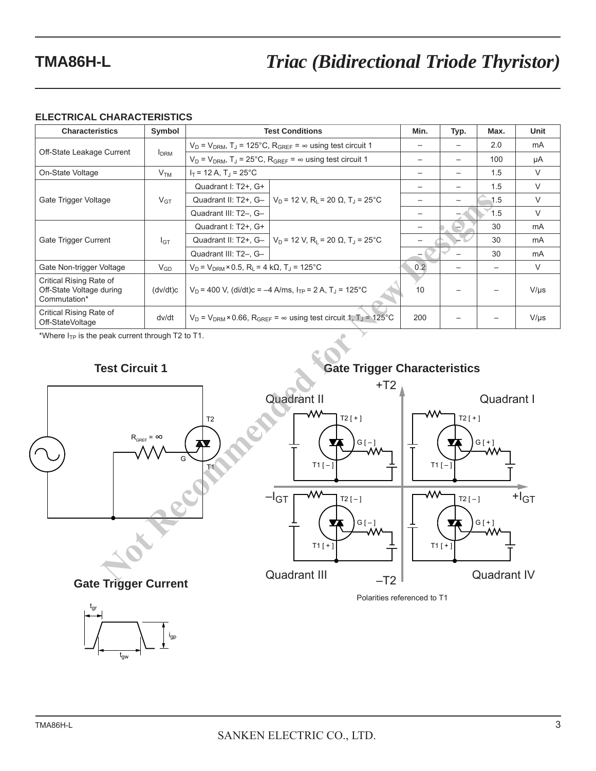### **ELECTRICAL CHARACTERISTICS**

| <b>Characteristics</b>                                              | Symbol                  | <b>Test Conditions</b>                                                                                                      | Min.                                                                                                    | Typ. | Max. | Unit      |        |
|---------------------------------------------------------------------|-------------------------|-----------------------------------------------------------------------------------------------------------------------------|---------------------------------------------------------------------------------------------------------|------|------|-----------|--------|
|                                                                     |                         | $V_D$ = $V_{DRM}$ , T <sub>J</sub> = 125°C, R <sub>GREF</sub> = $\infty$ using test circuit 1                               |                                                                                                         |      |      | 2.0       | mA     |
| Off-State Leakage Current                                           | <b>I</b> <sub>DRM</sub> | $V_D = V_{DRM}$ , T <sub>J</sub> = 25°C, R <sub>GREF</sub> = $\infty$ using test circuit 1                                  |                                                                                                         |      |      | 100       | μA     |
| On-State Voltage                                                    | V <sub>TM</sub>         | $I_T$ = 12 A, T <sub>J</sub> = 25 <sup>°</sup> C                                                                            |                                                                                                         |      |      | 1.5       | V      |
|                                                                     |                         | Quadrant I: T2+, G+                                                                                                         | $V_D$ = 12 V, R <sub>L</sub> = 20 Ω, T <sub>J</sub> = 25°C                                              |      |      | 1.5       | $\vee$ |
| Gate Trigger Voltage                                                | $V_{GT}$                | Quadrant II: T2+, G-                                                                                                        |                                                                                                         |      |      | 1.5       | $\vee$ |
|                                                                     |                         | Quadrant III: T2-, G-                                                                                                       |                                                                                                         |      |      | 1.5       | $\vee$ |
| Gate Trigger Current                                                | $I_{GT}$                | Quadrant I: T2+, G+                                                                                                         | Quadrant II: T2+, G-   V <sub>D</sub> = 12 V, R <sub>I</sub> = 20 Ω, T <sub>J</sub> = 25 <sup>°</sup> C |      |      | 30        | mA     |
|                                                                     |                         |                                                                                                                             |                                                                                                         |      |      | 30        | mA     |
|                                                                     |                         | Quadrant III: T2-, G-                                                                                                       |                                                                                                         |      |      | 30        | mA     |
| Gate Non-trigger Voltage                                            | $V_{GD}$                | $V_D = V_{DRM} \times 0.5$ , R <sub>1</sub> = 4 k $\Omega$ , T <sub>1</sub> = 125 <sup>°</sup> C                            |                                                                                                         | 0.2  |      |           | V      |
| Critical Rising Rate of<br>Off-State Voltage during<br>Commutation* | (dv/dt)c                | $V_D$ = 400 V, (di/dt)c = -4 A/ms, $I_{TP}$ = 2 A, T <sub>J</sub> = 125 <sup>°</sup> C<br>10                                |                                                                                                         |      |      | $V/\mu s$ |        |
| Critical Rising Rate of<br>Off-StateVoltage                         | dv/dt                   | 200<br>$V_D = V_{DRM} \times 0.66$ , R <sub>GREF</sub> = $\infty$ using test circuit 1, T <sub>J</sub> = 125 <sup>°</sup> C |                                                                                                         |      |      | $V/\mu s$ |        |

\*Where  $I_{TP}$  is the peak current through T2 to T1.

## **Test Circuit 1**

# **Gate Trigger Characteristics**



igp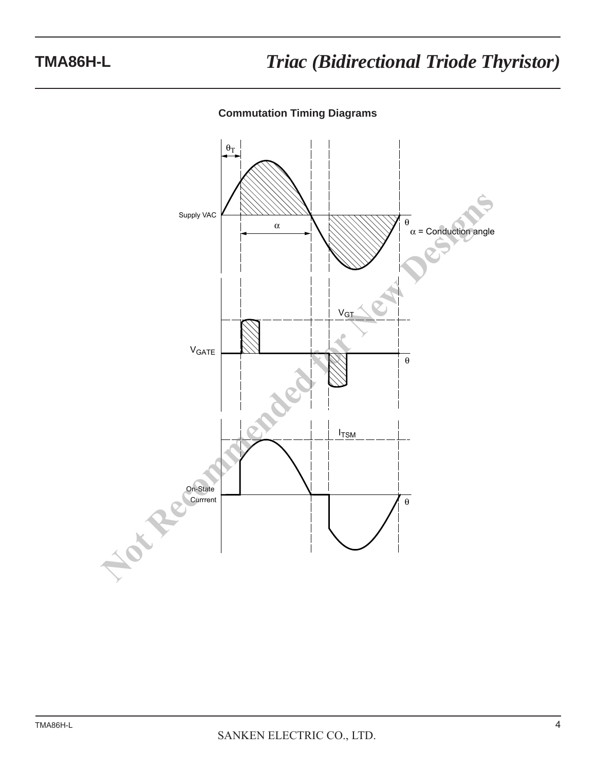### **Commutation Timing Diagrams**

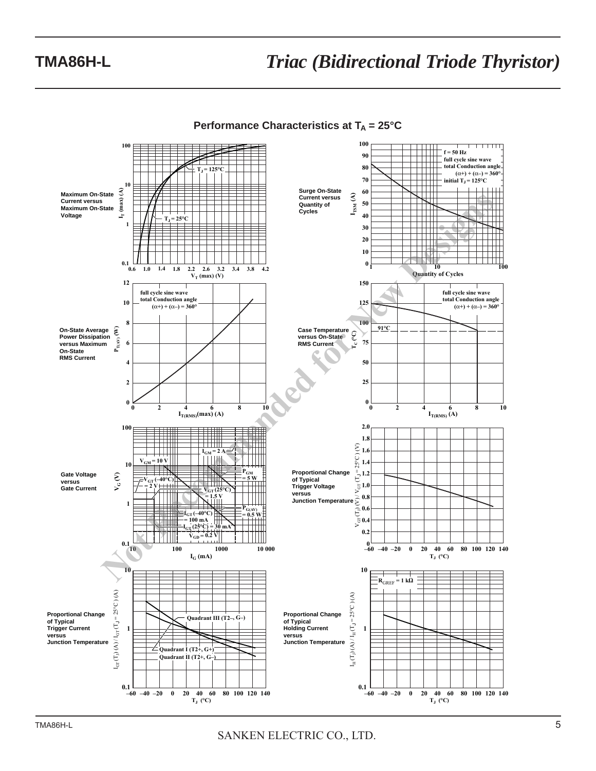

**Performance Characteristics at T<sub>A</sub> = 25°C**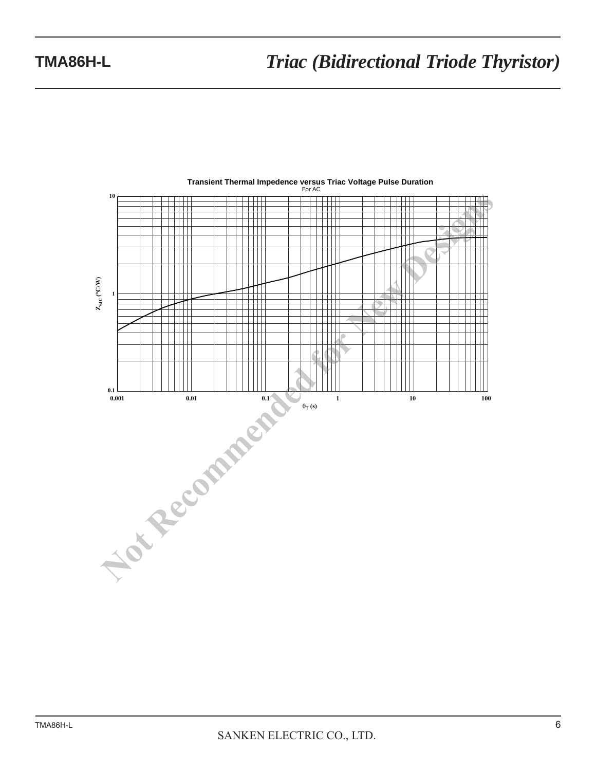

# **Transient Thermal Impedence versus Triac Voltage Pulse Duration** For AC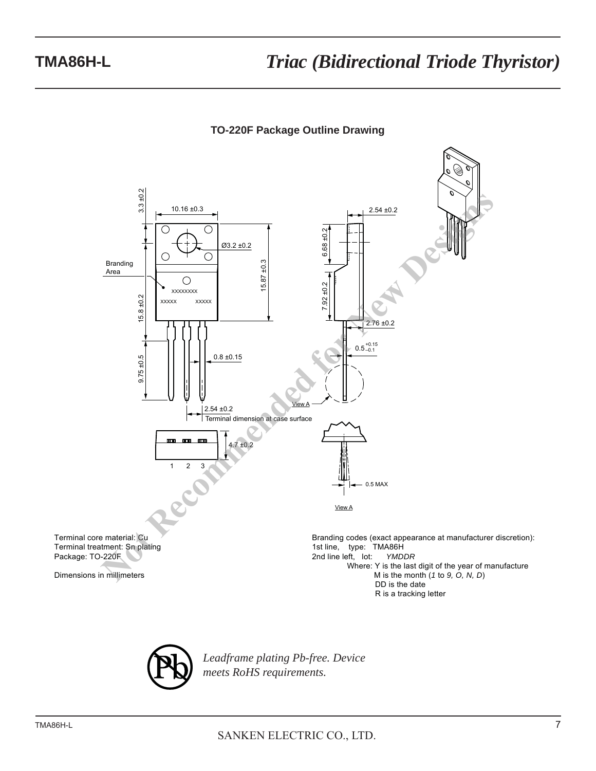### **TO-220F Package Outline Drawing**



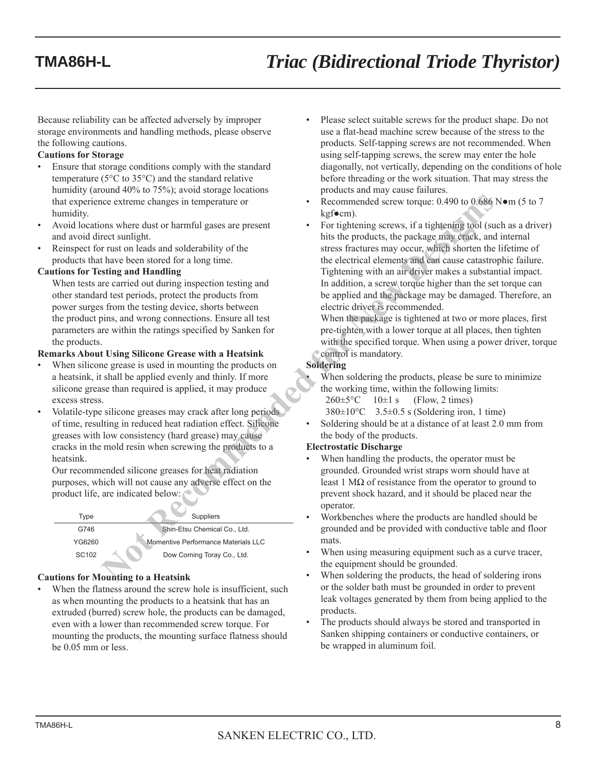Because reliability can be affected adversely by improper storage environments and handling methods, please observe the following cautions.

#### **Cautions for Storage**

- Ensure that storage conditions comply with the standard temperature (5°C to 35°C) and the standard relative humidity (around 40% to 75%); avoid storage locations that experience extreme changes in temperature or humidity.
- Avoid locations where dust or harmful gases are present and avoid direct sunlight.
- Reinspect for rust on leads and solderability of the products that have been stored for a long time.

#### **Cautions for Testing and Handling**

 When tests are carried out during inspection testing and other standard test periods, protect the products from power surges from the testing device, shorts between the product pins, and wrong connections. Ensure all test parameters are within the ratings specified by Sanken for the products.

#### **Remarks About Using Silicone Grease with a Heatsink**

- When silicone grease is used in mounting the products on a heatsink, it shall be applied evenly and thinly. If more silicone grease than required is applied, it may produce excess stress.
- Volatile-type silicone greases may crack after long periods of time, resulting in reduced heat radiation effect. Silicone greases with low consistency (hard grease) may cause cracks in the mold resin when screwing the products to a heatsink.

 Our recommended silicone greases for heat radiation purposes, which will not cause any adverse effect on the product life, are indicated below:

| Type              | <b>Suppliers</b>                    |
|-------------------|-------------------------------------|
| G746              | Shin-Etsu Chemical Co., Ltd.        |
| YG6260            | Momentive Performance Materials LLC |
| SC <sub>102</sub> | Dow Corning Toray Co., Ltd.         |
|                   |                                     |

#### **Cautions for Mounting to a Heatsink**

When the flatness around the screw hole is insufficient, such as when mounting the products to a heatsink that has an extruded (burred) screw hole, the products can be damaged, even with a lower than recommended screw torque. For mounting the products, the mounting surface flatness should be 0.05 mm or less.

- Please select suitable screws for the product shape. Do not use a flat-head machine screw because of the stress to the products. Self-tapping screws are not recommended. When using self-tapping screws, the screw may enter the hole diagonally, not vertically, depending on the conditions of hole before threading or the work situation. That may stress the products and may cause failures.
- Recommended screw torque: 0.490 to 0.686 N $\bullet$ m (5 to 7 kgf●cm).
- For tightening screws, if a tightening tool (such as a driver) hits the products, the package may crack, and internal stress fractures may occur, which shorten the lifetime of the electrical elements and can cause catastrophic failure. Tightening with an air driver makes a substantial impact. In addition, a screw torque higher than the set torque can be applied and the package may be damaged. Therefore, an electric driver is recommended. The state of the state of the state of the state of the state of the state of the state of the state of the state of the state of the state of the state of the state of the state of the state of the state of the state of

 When the package is tightened at two or more places, first pre-tighten with a lower torque at all places, then tighten with the specified torque. When using a power driver, torque control is mandatory.

#### **Soldering**

When soldering the products, please be sure to minimize. the working time, within the following limits:  $260 \pm 5^{\circ}$ C 10 $\pm 1$  s (Flow, 2 times)

- $380\pm10^{\circ}$ C  $3.5\pm0.5$  s (Soldering iron, 1 time)
- Soldering should be at a distance of at least 2.0 mm from the body of the products.

#### **Electrostatic Discharge**

- When handling the products, the operator must be grounded. Grounded wrist straps worn should have at least 1 MΩ of resistance from the operator to ground to prevent shock hazard, and it should be placed near the operator.
- Workbenches where the products are handled should be grounded and be provided with conductive table and floor mats.
- When using measuring equipment such as a curve tracer, the equipment should be grounded.
- When soldering the products, the head of soldering irons or the solder bath must be grounded in order to prevent leak voltages generated by them from being applied to the products.
- The products should always be stored and transported in Sanken shipping containers or conductive containers, or be wrapped in aluminum foil.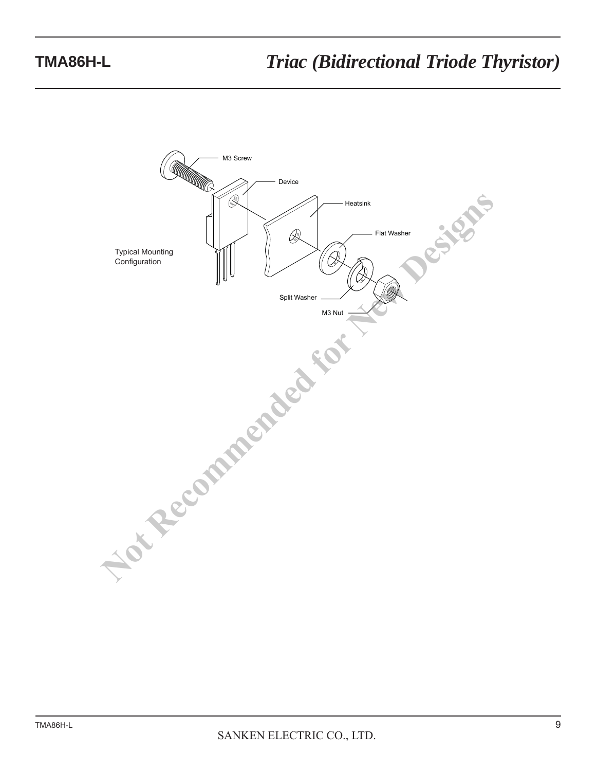